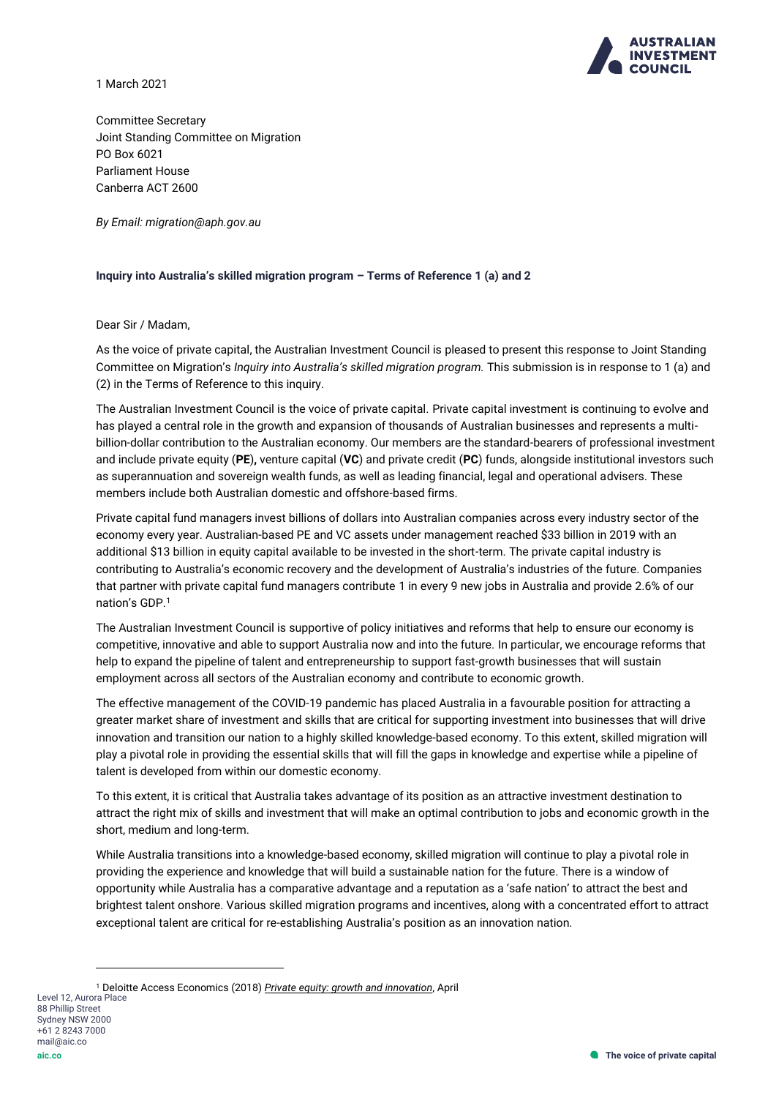

1 March 2021

Committee Secretary Joint Standing Committee on Migration PO Box 6021 Parliament House Canberra ACT 2600

*By Email: migration@aph.gov.au*

### **Inquiry into Australia's skilled migration program – Terms of Reference 1 (a) and 2**

Dear Sir / Madam,

As the voice of private capital, the Australian Investment Council is pleased to present this response to Joint Standing Committee on Migration's *Inquiry into Australia's skilled migration program.* This submission is in response to 1 (a) and (2) in the Terms of Reference to this inquiry.

The Australian Investment Council is the voice of private capital. Private capital investment is continuing to evolve and has played a central role in the growth and expansion of thousands of Australian businesses and represents a multibillion-dollar contribution to the Australian economy. Our members are the standard-bearers of professional investment and include private equity (**PE**)**,** venture capital (**VC**) and private credit (**PC**) funds, alongside institutional investors such as superannuation and sovereign wealth funds, as well as leading financial, legal and operational advisers. These members include both Australian domestic and offshore-based firms.

Private capital fund managers invest billions of dollars into Australian companies across every industry sector of the economy every year. Australian-based PE and VC assets under management reached \$33 billion in 2019 with an additional \$13 billion in equity capital available to be invested in the short-term. The private capital industry is contributing to Australia's economic recovery and the development of Australia's industries of the future. Companies that partner with private capital fund managers contribute 1 in every 9 new jobs in Australia and provide 2.6% of our nation's GDP.<sup>1</sup>

The Australian Investment Council is supportive of policy initiatives and reforms that help to ensure our economy is competitive, innovative and able to support Australia now and into the future. In particular, we encourage reforms that help to expand the pipeline of talent and entrepreneurship to support fast-growth businesses that will sustain employment across all sectors of the Australian economy and contribute to economic growth.

The effective management of the COVID-19 pandemic has placed Australia in a favourable position for attracting a greater market share of investment and skills that are critical for supporting investment into businesses that will drive innovation and transition our nation to a highly skilled knowledge-based economy. To this extent, skilled migration will play a pivotal role in providing the essential skills that will fill the gaps in knowledge and expertise while a pipeline of talent is developed from within our domestic economy.

To this extent, it is critical that Australia takes advantage of its position as an attractive investment destination to attract the right mix of skills and investment that will make an optimal contribution to jobs and economic growth in the short, medium and long-term.

While Australia transitions into a knowledge-based economy, skilled migration will continue to play a pivotal role in providing the experience and knowledge that will build a sustainable nation for the future. There is a window of opportunity while Australia has a comparative advantage and a reputation as a 'safe nation' to attract the best and brightest talent onshore. Various skilled migration programs and incentives, along with a concentrated effort to attract exceptional talent are critical for re-establishing Australia's position as an innovation nation.

<sup>1</sup> Deloitte Access Economics (2018) *[Private equity: growth and innovation](https://www.aic.co/common/Uploaded%20files/Special%20Reports/Deloitte%20Access%20Economics%202018%20Private%20Equity%20Growth%20and%20Innovation.pdf)*, April

mail@aic.co **aic.co**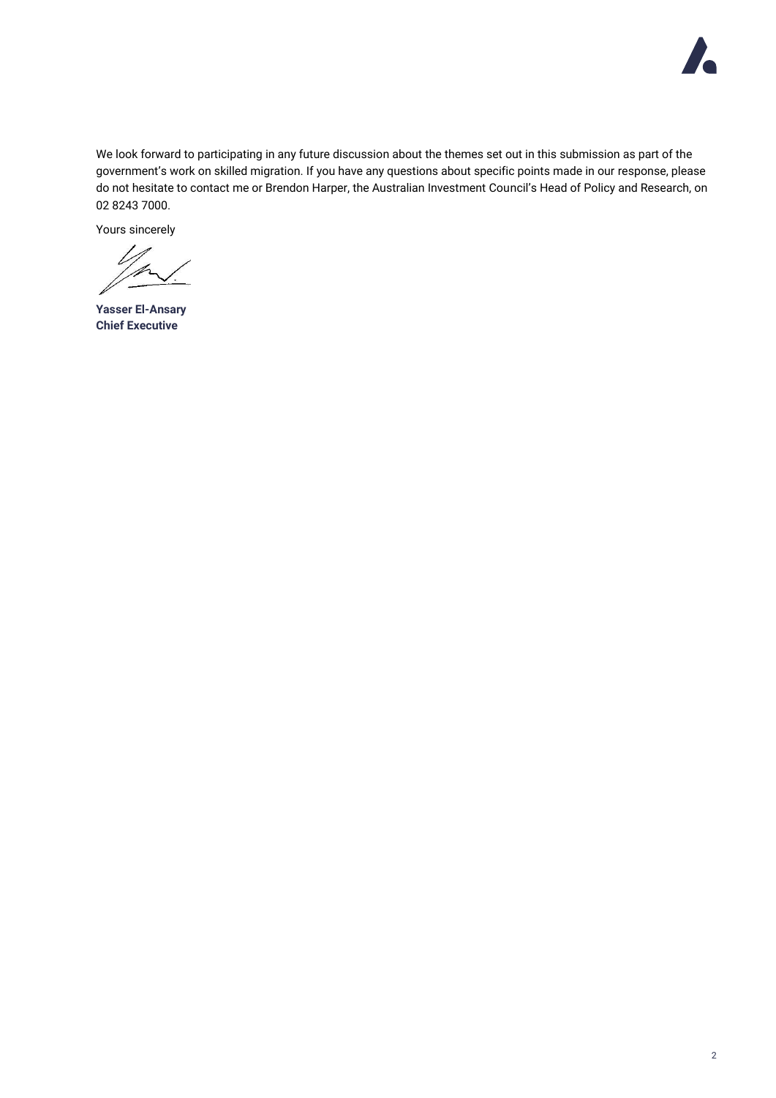

We look forward to participating in any future discussion about the themes set out in this submission as part of the government's work on skilled migration. If you have any questions about specific points made in our response, please do not hesitate to contact me or Brendon Harper, the Australian Investment Council's Head of Policy and Research, on 02 8243 7000.

Yours sincerely

**Yasser El-Ansary Chief Executive**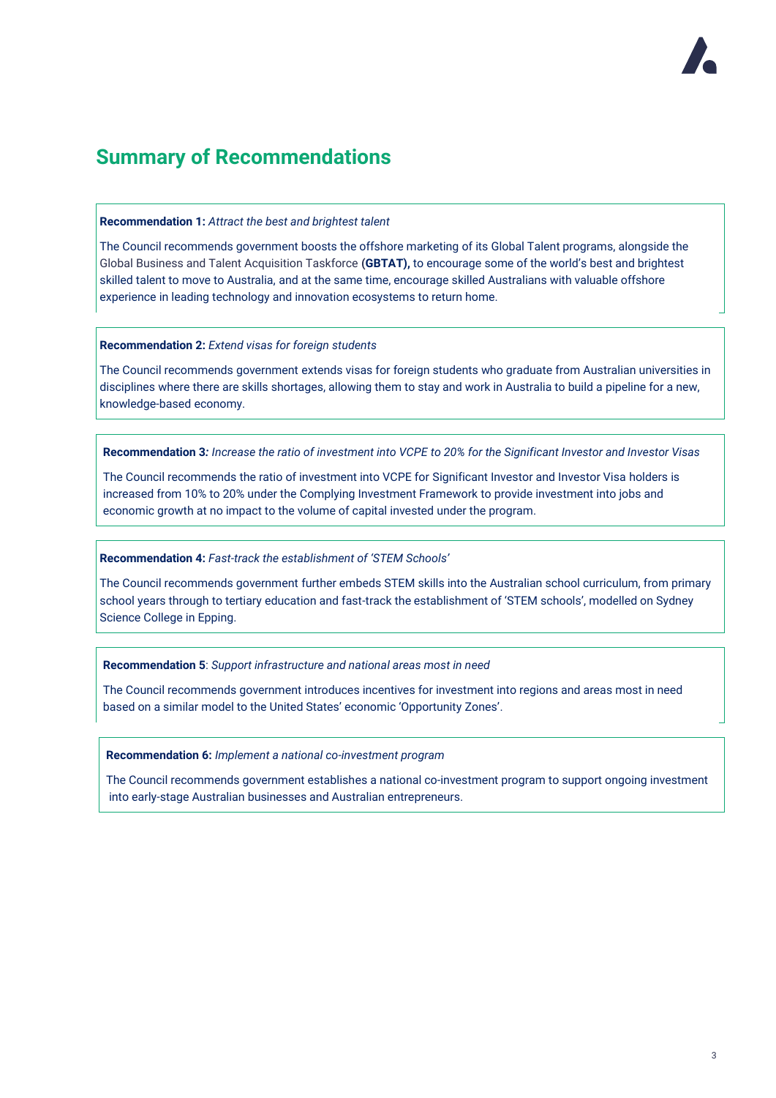# **Summary of Recommendations**

### **Recommendation 1:** *Attract the best and brightest talent*

The Council recommends government boosts the offshore marketing of its Global Talent programs, alongside the Global Business and Talent Acquisition Taskforce **(GBTAT),** to encourage some of the world's best and brightest skilled talent to move to Australia, and at the same time, encourage skilled Australians with valuable offshore experience in leading technology and innovation ecosystems to return home.

### **Recommendation 2:** *Extend visas for foreign students*

The Council recommends government extends visas for foreign students who graduate from Australian universities in disciplines where there are skills shortages, allowing them to stay and work in Australia to build a pipeline for a new, knowledge-based economy.

**Recommendation 3***: Increase the ratio of investment into VCPE to 20% for the Significant Investor and Investor Visas*

The Council recommends the ratio of investment into VCPE for Significant Investor and Investor Visa holders is increased from 10% to 20% under the Complying Investment Framework to provide investment into jobs and economic growth at no impact to the volume of capital invested under the program.

### **Recommendation 4:** *Fast-track the establishment of 'STEM Schools'*

The Council recommends government further embeds STEM skills into the Australian school curriculum, from primary school years through to tertiary education and fast-track the establishment of 'STEM schools', modelled on Sydney Science College in Epping.

### **Recommendation 5**: *Support infrastructure and national areas most in need*

The Council recommends government introduces incentives for investment into regions and areas most in need based on a similar model to the United States' economic 'Opportunity Zones'.

### **Recommendation 6:** *Implement a national co-investment program*

The Council recommends government establishes a national co-investment program to support ongoing investment into early-stage Australian businesses and Australian entrepreneurs.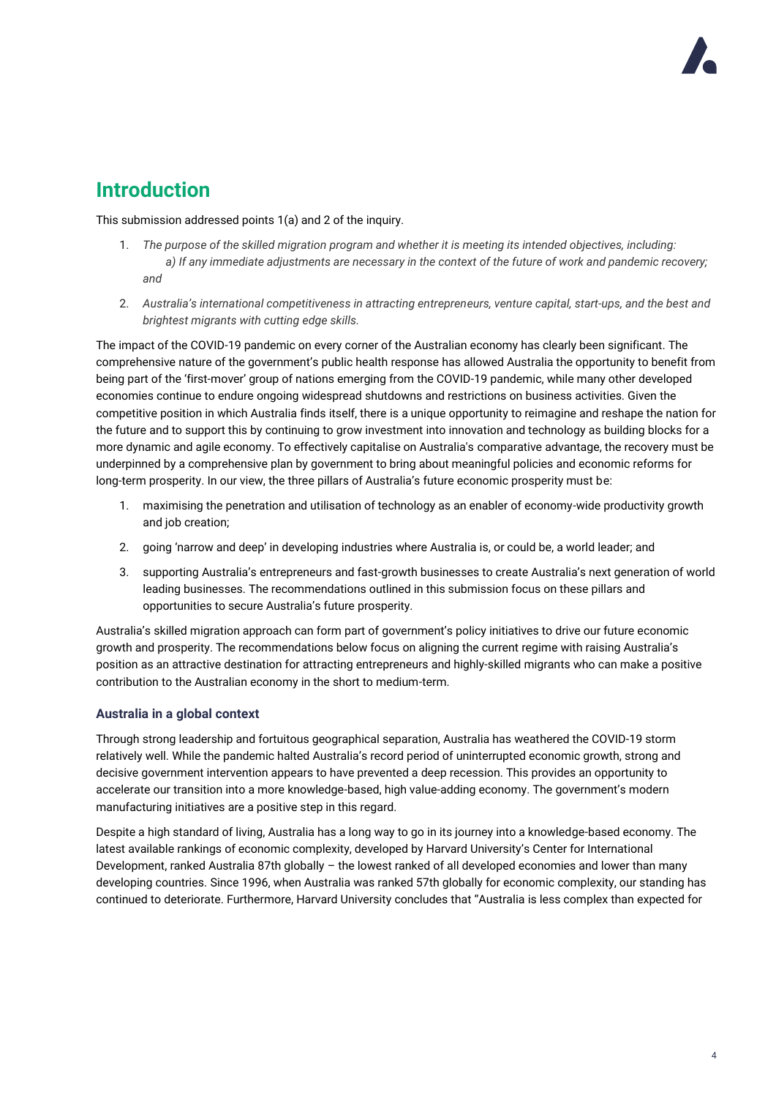# **Introduction**

This submission addressed points 1(a) and 2 of the inquiry.

- 1. *The purpose of the skilled migration program and whether it is meeting its intended objectives, including: a) If any immediate adjustments are necessary in the context of the future of work and pandemic recovery; and*
- 2. *Australia's international competitiveness in attracting entrepreneurs, venture capital, start-ups, and the best and brightest migrants with cutting edge skills.*

The impact of the COVID-19 pandemic on every corner of the Australian economy has clearly been significant. The comprehensive nature of the government's public health response has allowed Australia the opportunity to benefit from being part of the 'first-mover' group of nations emerging from the COVID-19 pandemic, while many other developed economies continue to endure ongoing widespread shutdowns and restrictions on business activities. Given the competitive position in which Australia finds itself, there is a unique opportunity to reimagine and reshape the nation for the future and to support this by continuing to grow investment into innovation and technology as building blocks for a more dynamic and agile economy. To effectively capitalise on Australia's comparative advantage, the recovery must be underpinned by a comprehensive plan by government to bring about meaningful policies and economic reforms for long-term prosperity. In our view, the three pillars of Australia's future economic prosperity must be:

- 1. maximising the penetration and utilisation of technology as an enabler of economy-wide productivity growth and job creation;
- 2. going 'narrow and deep' in developing industries where Australia is, or could be, a world leader; and
- 3. supporting Australia's entrepreneurs and fast-growth businesses to create Australia's next generation of world leading businesses. The recommendations outlined in this submission focus on these pillars and opportunities to secure Australia's future prosperity.

Australia's skilled migration approach can form part of government's policy initiatives to drive our future economic growth and prosperity. The recommendations below focus on aligning the current regime with raising Australia's position as an attractive destination for attracting entrepreneurs and highly-skilled migrants who can make a positive contribution to the Australian economy in the short to medium-term.

### **Australia in a global context**

Through strong leadership and fortuitous geographical separation, Australia has weathered the COVID-19 storm relatively well. While the pandemic halted Australia's record period of uninterrupted economic growth, strong and decisive government intervention appears to have prevented a deep recession. This provides an opportunity to accelerate our transition into a more knowledge-based, high value-adding economy. The government's modern manufacturing initiatives are a positive step in this regard.

Despite a high standard of living, Australia has a long way to go in its journey into a knowledge-based economy. The latest available rankings of economic complexity, developed by Harvard University's Center for International Development, ranked Australia 87th globally – the lowest ranked of all developed economies and lower than many developing countries. Since 1996, when Australia was ranked 57th globally for economic complexity, our standing has continued to deteriorate. Furthermore, Harvard University concludes that "Australia is less complex than expected for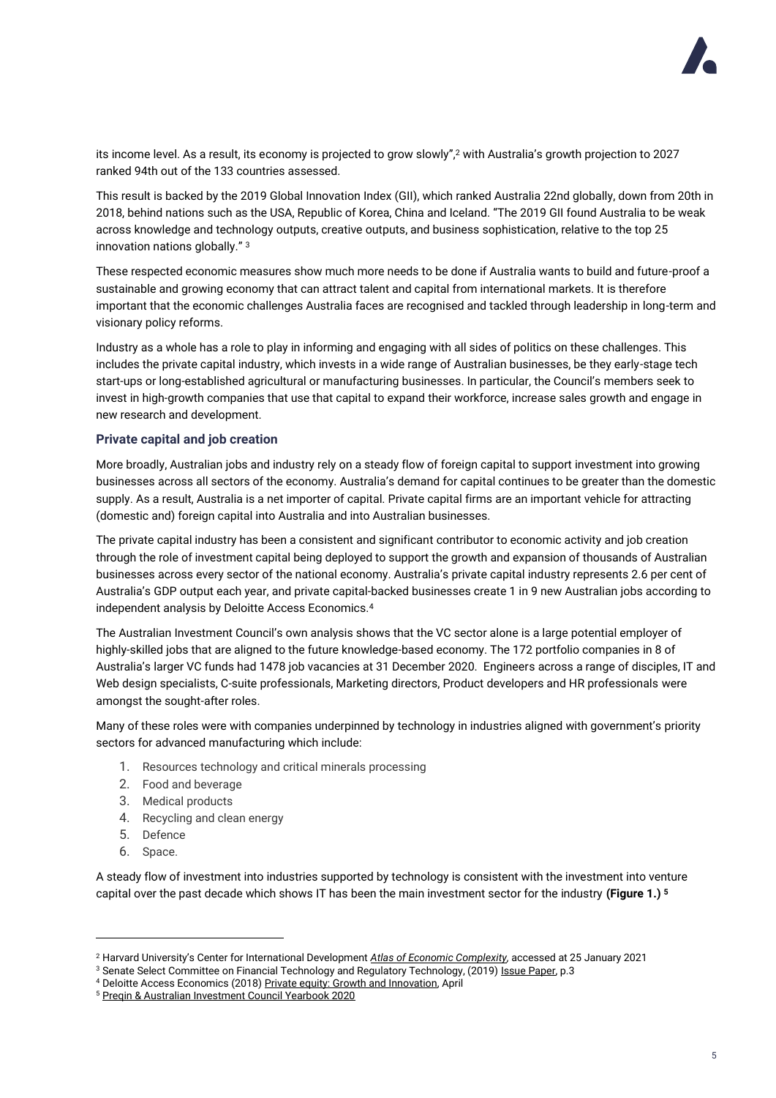

its income level. As a result, its economy is projected to grow slowly",<sup>2</sup> with Australia's growth projection to 2027 ranked 94th out of the 133 countries assessed.

This result is backed by the 2019 Global Innovation Index (GII), which ranked Australia 22nd globally, down from 20th in 2018, behind nations such as the USA, Republic of Korea, China and Iceland. "The 2019 GII found Australia to be weak across knowledge and technology outputs, creative outputs, and business sophistication, relative to the top 25 innovation nations globally." <sup>3</sup>

These respected economic measures show much more needs to be done if Australia wants to build and future-proof a sustainable and growing economy that can attract talent and capital from international markets. It is therefore important that the economic challenges Australia faces are recognised and tackled through leadership in long-term and visionary policy reforms.

Industry as a whole has a role to play in informing and engaging with all sides of politics on these challenges. This includes the private capital industry, which invests in a wide range of Australian businesses, be they early-stage tech start-ups or long-established agricultural or manufacturing businesses. In particular, the Council's members seek to invest in high-growth companies that use that capital to expand their workforce, increase sales growth and engage in new research and development.

### **Private capital and job creation**

More broadly, Australian jobs and industry rely on a steady flow of foreign capital to support investment into growing businesses across all sectors of the economy. Australia's demand for capital continues to be greater than the domestic supply. As a result, Australia is a net importer of capital. Private capital firms are an important vehicle for attracting (domestic and) foreign capital into Australia and into Australian businesses.

The private capital industry has been a consistent and significant contributor to economic activity and job creation through the role of investment capital being deployed to support the growth and expansion of thousands of Australian businesses across every sector of the national economy. Australia's private capital industry represents 2.6 per cent of Australia's GDP output each year, and private capital-backed businesses create 1 in 9 new Australian jobs according to independent analysis by Deloitte Access Economics.<sup>4</sup>

The Australian Investment Council's own analysis shows that the VC sector alone is a large potential employer of highly-skilled jobs that are aligned to the future knowledge-based economy. The 172 portfolio companies in 8 of Australia's larger VC funds had 1478 job vacancies at 31 December 2020. Engineers across a range of disciples, IT and Web design specialists, C-suite professionals, Marketing directors, Product developers and HR professionals were amongst the sought-after roles.

Many of these roles were with companies underpinned by technology in industries aligned with government's priority sectors for advanced manufacturing which include:

- 1. Resources technology and critical minerals processing
- 2. Food and beverage
- 3. Medical products
- 4. Recycling and clean energy
- 5. Defence
- 6. Space.

A steady flow of investment into industries supported by technology is consistent with the investment into venture capital over the past decade which shows IT has been the main investment sector for the industry **(Figure 1.) <sup>5</sup>**

<sup>2</sup> Harvard University's Center for International Development *[Atlas of Economic Complexity,](https://atlas.cid.harvard.edu/countries/14)* accessed at 25 January 2021

<sup>&</sup>lt;sup>3</sup> Senate Select Committee on Financial Technology and Regulatory Technology, (2019[\) Issue Paper,](https://www.aph.gov.au/-/media/Committees/fintech_cttee/Issues_Paper_-_FinTech.pdf?la=en&hash=DB427F1D713FDA68AA17F4FFB9E0D911A8DD72A2) p.3

<sup>4</sup> Deloitte Access Economics (2018) [Private equity: Growth and Innovation,](https://aic.co/common/Uploaded%20files/Special%20Reports/Deloitte%20Access%20Economics%202018%20Private%20Equity%20Growth%20and%20Innovation.pdf) April

<sup>5</sup> [Preqin & Australian Investment Council Yearbook 2020](https://www.aic.co/common/Uploaded%20files/Yearbooks/Australian-Private-Capital-Market-Overview-A-Preqin-and-AIC-Yearbook-2020.pdf)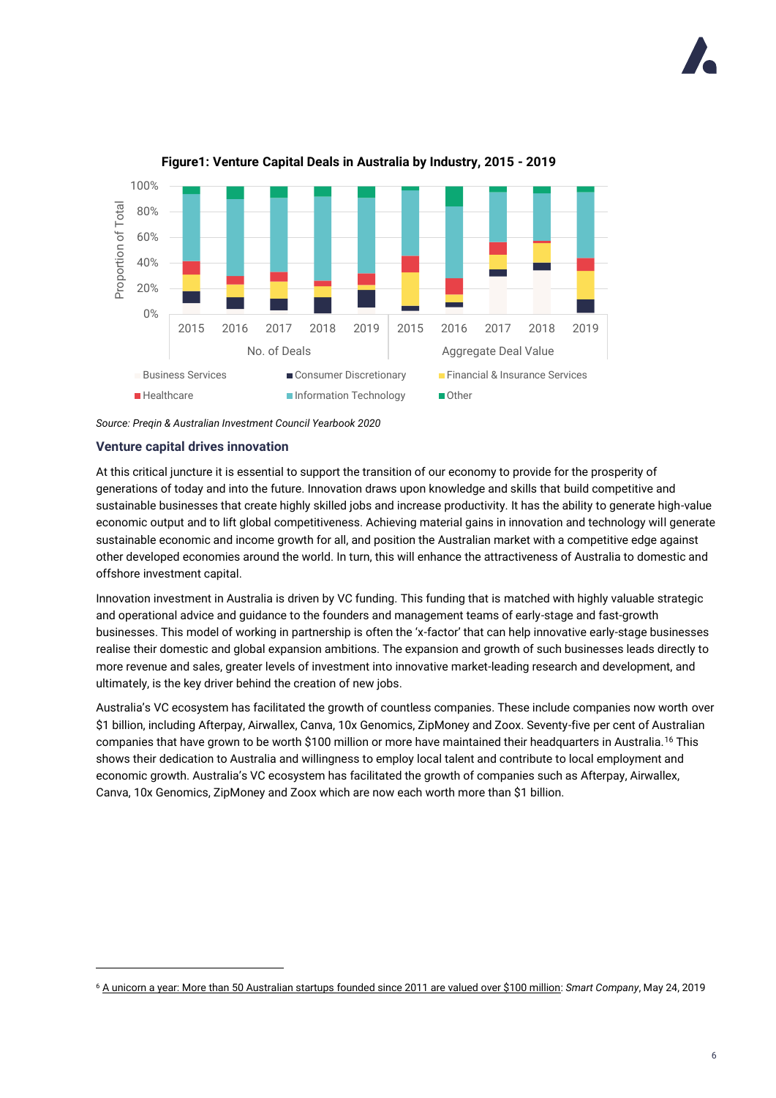

### **Figure1: Venture Capital Deals in Australia by Industry, 2015 - 2019**

*Source: Preqin & Australian Investment Council Yearbook 2020*

### **Venture capital drives innovation**

At this critical juncture it is essential to support the transition of our economy to provide for the prosperity of generations of today and into the future. Innovation draws upon knowledge and skills that build competitive and sustainable businesses that create highly skilled jobs and increase productivity. It has the ability to generate high-value economic output and to lift global competitiveness. Achieving material gains in innovation and technology will generate sustainable economic and income growth for all, and position the Australian market with a competitive edge against other developed economies around the world. In turn, this will enhance the attractiveness of Australia to domestic and offshore investment capital.

Innovation investment in Australia is driven by VC funding. This funding that is matched with highly valuable strategic and operational advice and guidance to the founders and management teams of early-stage and fast-growth businesses. This model of working in partnership is often the 'x-factor' that can help innovative early-stage businesses realise their domestic and global expansion ambitions. The expansion and growth of such businesses leads directly to more revenue and sales, greater levels of investment into innovative market-leading research and development, and ultimately, is the key driver behind the creation of new jobs.

Australia's VC ecosystem has facilitated the growth of countless companies. These include companies now worth over \$1 billion, including Afterpay, Airwallex, Canva, 10x Genomics, ZipMoney and Zoox. Seventy-five per cent of Australian companies that have grown to be worth \$100 million or more have maintained their headquarters in Australia.<sup>16</sup> This shows their dedication to Australia and willingness to employ local talent and contribute to local employment and economic growth. Australia's VC ecosystem has facilitated the growth of companies such as Afterpay, Airwallex, Canva, 10x Genomics, ZipMoney and Zoox which are now each worth more than \$1 billion.

<sup>6</sup> [A unicorn a year: More than 50 Australian startups founded since 2011 are valued over \\$100 million:](https://www.smartcompany.com.au/startupsmart/analysis/nick-crocker-50-australian-startups-valued-100-million/) *Smart Company*, May 24, 2019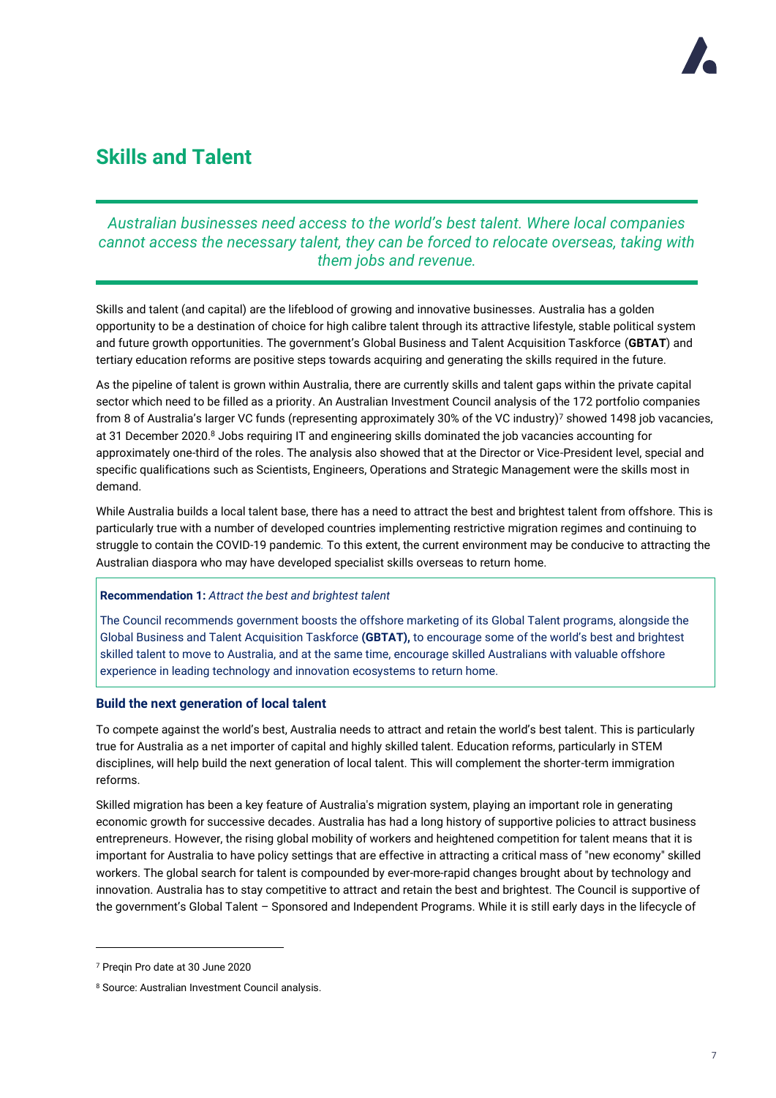# **Skills and Talent**

## *Australian businesses need access to the world's best talent. Where local companies cannot access the necessary talent, they can be forced to relocate overseas, taking with them jobs and revenue.*

Skills and talent (and capital) are the lifeblood of growing and innovative businesses. Australia has a golden opportunity to be a destination of choice for high calibre talent through its attractive lifestyle, stable political system and future growth opportunities. The government's Global Business and Talent Acquisition Taskforce (**GBTAT**) and tertiary education reforms are positive steps towards acquiring and generating the skills required in the future.

As the pipeline of talent is grown within Australia, there are currently skills and talent gaps within the private capital sector which need to be filled as a priority. An Australian Investment Council analysis of the 172 portfolio companies from 8 of Australia's larger VC funds (representing approximately 30% of the VC industry)<sup>7</sup> showed 1498 job vacancies, at 31 December 2020.8 Jobs requiring IT and engineering skills dominated the job vacancies accounting for approximately one-third of the roles. The analysis also showed that at the Director or Vice-President level, special and specific qualifications such as Scientists, Engineers, Operations and Strategic Management were the skills most in demand.

While Australia builds a local talent base, there has a need to attract the best and brightest talent from offshore. This is particularly true with a number of developed countries implementing restrictive migration regimes and continuing to struggle to contain the COVID-19 pandemic*.* To this extent, the current environment may be conducive to attracting the Australian diaspora who may have developed specialist skills overseas to return home.

### **Recommendation 1:** *Attract the best and brightest talent*

The Council recommends government boosts the offshore marketing of its Global Talent programs, alongside the Global Business and Talent Acquisition Taskforce **(GBTAT),** to encourage some of the world's best and brightest skilled talent to move to Australia, and at the same time, encourage skilled Australians with valuable offshore experience in leading technology and innovation ecosystems to return home.

### **Build the next generation of local talent**

To compete against the world's best, Australia needs to attract and retain the world's best talent. This is particularly true for Australia as a net importer of capital and highly skilled talent. Education reforms, particularly in STEM disciplines, will help build the next generation of local talent. This will complement the shorter-term immigration reforms.

Skilled migration has been a key feature of Australia's migration system, playing an important role in generating economic growth for successive decades. Australia has had a long history of supportive policies to attract business entrepreneurs. However, the rising global mobility of workers and heightened competition for talent means that it is important for Australia to have policy settings that are effective in attracting a critical mass of "new economy" skilled workers. The global search for talent is compounded by ever-more-rapid changes brought about by technology and innovation. Australia has to stay competitive to attract and retain the best and brightest. The Council is supportive of the government's Global Talent – Sponsored and Independent Programs. While it is still early days in the lifecycle of

<sup>7</sup> Preqin Pro date at 30 June 2020

<sup>8</sup> Source: Australian Investment Council analysis.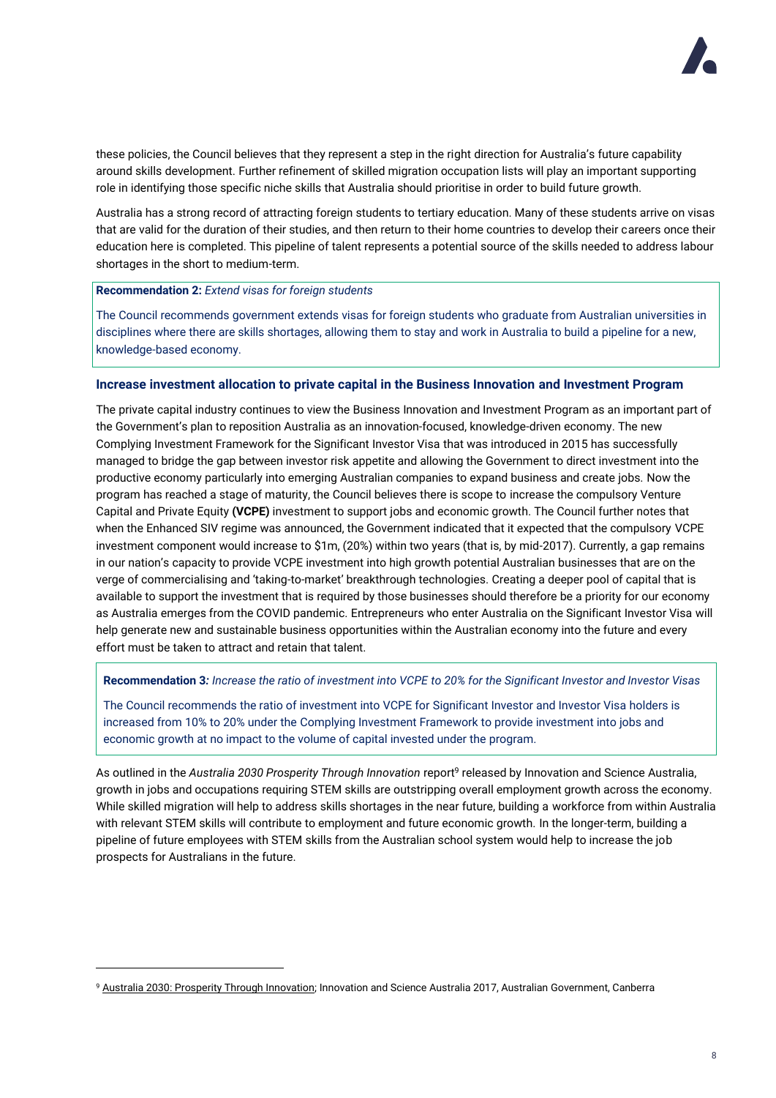

these policies, the Council believes that they represent a step in the right direction for Australia's future capability around skills development. Further refinement of skilled migration occupation lists will play an important supporting role in identifying those specific niche skills that Australia should prioritise in order to build future growth.

Australia has a strong record of attracting foreign students to tertiary education. Many of these students arrive on visas that are valid for the duration of their studies, and then return to their home countries to develop their careers once their education here is completed. This pipeline of talent represents a potential source of the skills needed to address labour shortages in the short to medium-term.

### **Recommendation 2:** *Extend visas for foreign students*

The Council recommends government extends visas for foreign students who graduate from Australian universities in disciplines where there are skills shortages, allowing them to stay and work in Australia to build a pipeline for a new, knowledge-based economy.

### **Increase investment allocation to private capital in the Business Innovation and Investment Program**

The private capital industry continues to view the Business Innovation and Investment Program as an important part of the Government's plan to reposition Australia as an innovation-focused, knowledge-driven economy. The new Complying Investment Framework for the Significant Investor Visa that was introduced in 2015 has successfully managed to bridge the gap between investor risk appetite and allowing the Government to direct investment into the productive economy particularly into emerging Australian companies to expand business and create jobs. Now the program has reached a stage of maturity, the Council believes there is scope to increase the compulsory Venture Capital and Private Equity **(VCPE)** investment to support jobs and economic growth. The Council further notes that when the Enhanced SIV regime was announced, the Government indicated that it expected that the compulsory VCPE investment component would increase to \$1m, (20%) within two years (that is, by mid-2017). Currently, a gap remains in our nation's capacity to provide VCPE investment into high growth potential Australian businesses that are on the verge of commercialising and 'taking-to-market' breakthrough technologies. Creating a deeper pool of capital that is available to support the investment that is required by those businesses should therefore be a priority for our economy as Australia emerges from the COVID pandemic. Entrepreneurs who enter Australia on the Significant Investor Visa will help generate new and sustainable business opportunities within the Australian economy into the future and every effort must be taken to attract and retain that talent.

**Recommendation 3***: Increase the ratio of investment into VCPE to 20% for the Significant Investor and Investor Visas*

The Council recommends the ratio of investment into VCPE for Significant Investor and Investor Visa holders is increased from 10% to 20% under the Complying Investment Framework to provide investment into jobs and economic growth at no impact to the volume of capital invested under the program.

As outlined in the *Australia 2030 Prosperity Through Innovation* report<sup>9</sup> released by Innovation and Science Australia, growth in jobs and occupations requiring STEM skills are outstripping overall employment growth across the economy. While skilled migration will help to address skills shortages in the near future, building a workforce from within Australia with relevant STEM skills will contribute to employment and future economic growth. In the longer-term, building a pipeline of future employees with STEM skills from the Australian school system would help to increase the job prospects for Australians in the future.

<sup>9</sup> [Australia 2030: Prosperity Through Innovation;](https://www.industry.gov.au/sites/g/files/net3906/f/May%202018/document/pdf/australia-2030-prosperity-through-innovation-full-report.pdf) Innovation and Science Australia 2017, Australian Government, Canberra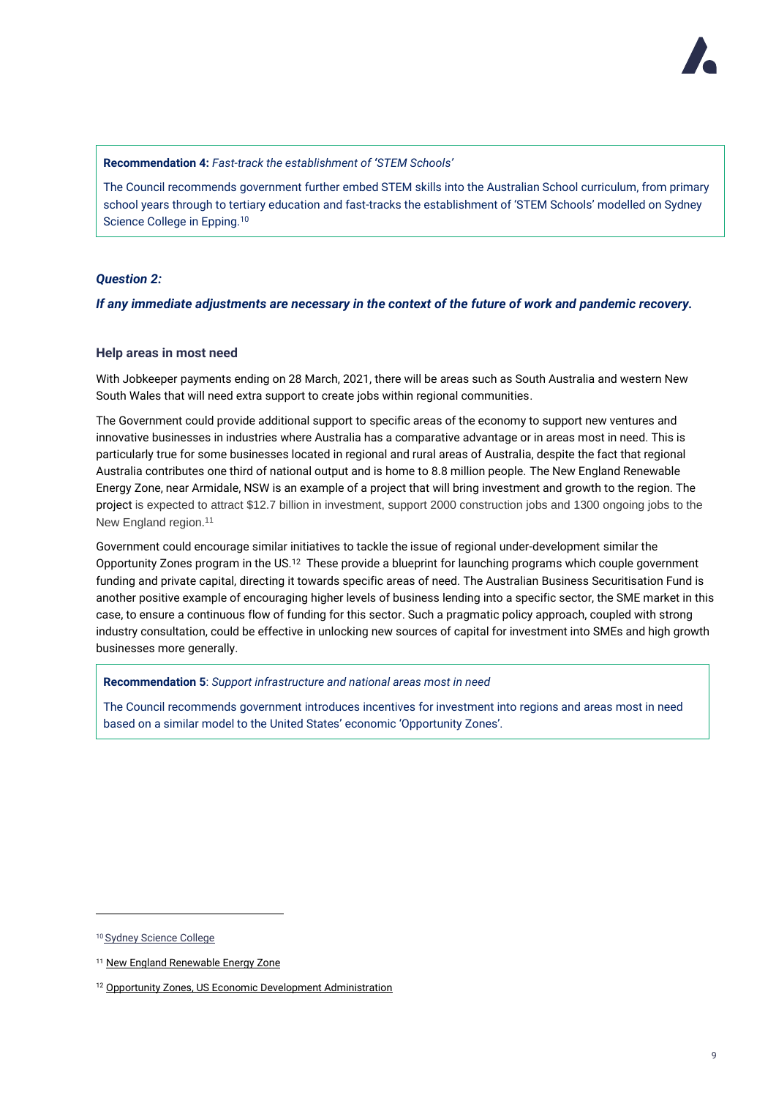

**Recommendation 4:** *Fast-track the establishment of 'STEM Schools'*

The Council recommends government further embed STEM skills into the Australian School curriculum, from primary school years through to tertiary education and fast-tracks the establishment of 'STEM Schools' modelled on Sydney Science College in Epping.<sup>10</sup>

### *Question 2:*

*If any immediate adjustments are necessary in the context of the future of work and pandemic recovery.*

### **Help areas in most need**

With Jobkeeper payments ending on 28 March, 2021, there will be areas such as South Australia and western New South Wales that will need extra support to create jobs within regional communities.

The Government could provide additional support to specific areas of the economy to support new ventures and innovative businesses in industries where Australia has a comparative advantage or in areas most in need. This is particularly true for some businesses located in regional and rural areas of Australia, despite the fact that regional Australia contributes one third of national output and is home to 8.8 million people. The New England Renewable Energy Zone, near Armidale, NSW is an example of a project that will bring investment and growth to the region. The project is expected to attract \$12.7 billion in investment, support 2000 construction jobs and 1300 ongoing jobs to the New England region.<sup>11</sup>

Government could encourage similar initiatives to tackle the issue of regional under-development similar the Opportunity Zones program in the US.<sup>12</sup> These provide a blueprint for launching programs which couple government funding and private capital, directing it towards specific areas of need. The Australian Business Securitisation Fund is another positive example of encouraging higher levels of business lending into a specific sector, the SME market in this case, to ensure a continuous flow of funding for this sector. Such a pragmatic policy approach, coupled with strong industry consultation, could be effective in unlocking new sources of capital for investment into SMEs and high growth businesses more generally.

**Recommendation 5**: *Support infrastructure and national areas most in need*

The Council recommends government introduces incentives for investment into regions and areas most in need based on a similar model to the United States' economic 'Opportunity Zones'.

<sup>10</sup> [Sydney Science College](https://www.sydneysciencecollege.nsw.edu.au/)

<sup>&</sup>lt;sup>11</sup> [New England Renewable Energy Zone](https://energy.nsw.gov.au/new-england-light-second-nsw-renewable-energy-zone)

<sup>&</sup>lt;sup>12</sup> [Opportunity Zones, US Economic Development Administration](https://www.eda.gov/opportunity-zones/)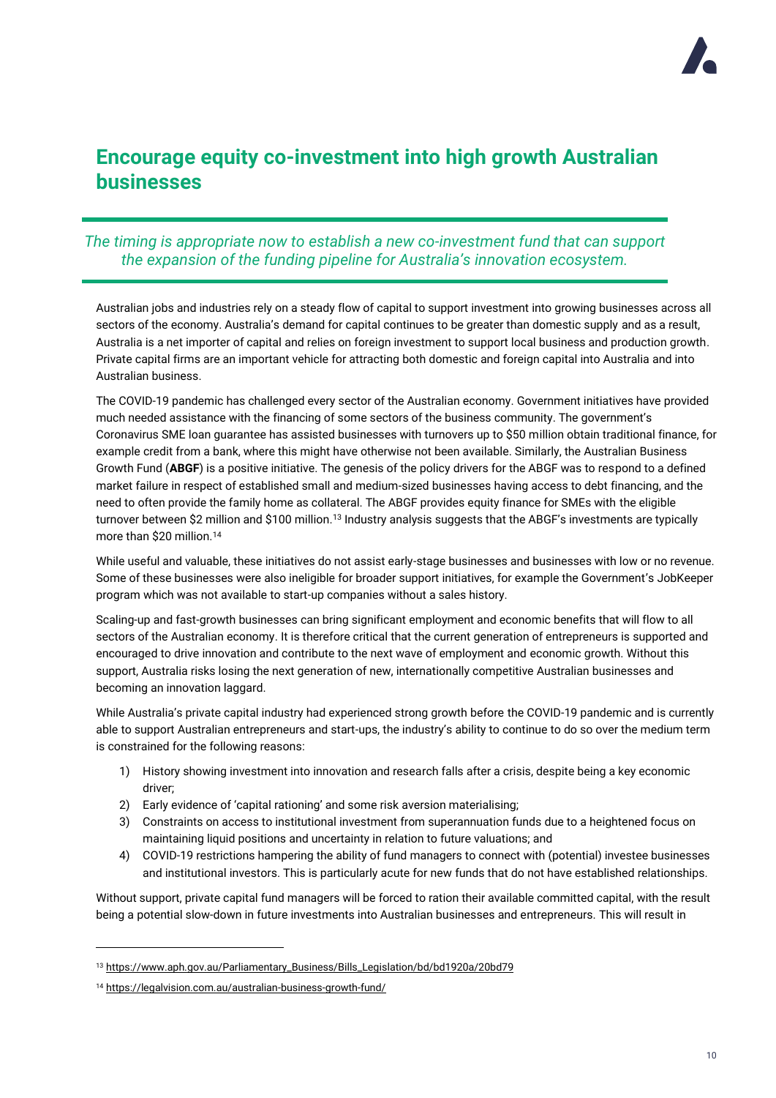

# **Encourage equity co-investment into high growth Australian businesses**

### *The timing is appropriate now to establish a new co-investment fund that can support the expansion of the funding pipeline for Australia's innovation ecosystem.*

Australian jobs and industries rely on a steady flow of capital to support investment into growing businesses across all sectors of the economy. Australia's demand for capital continues to be greater than domestic supply and as a result, Australia is a net importer of capital and relies on foreign investment to support local business and production growth. Private capital firms are an important vehicle for attracting both domestic and foreign capital into Australia and into Australian business.

The COVID-19 pandemic has challenged every sector of the Australian economy. Government initiatives have provided much needed assistance with the financing of some sectors of the business community. The government's Coronavirus SME loan guarantee has assisted businesses with turnovers up to \$50 million obtain traditional finance, for example credit from a bank, where this might have otherwise not been available. Similarly, the Australian Business Growth Fund (**ABGF**) is a positive initiative. The genesis of the policy drivers for the ABGF was to respond to a defined market failure in respect of established small and medium-sized businesses having access to debt financing, and the need to often provide the family home as collateral. The ABGF provides equity finance for SMEs with the eligible turnover between \$2 million and \$100 million.<sup>13</sup> Industry analysis suggests that the ABGF's investments are typically more than \$20 million.<sup>14</sup>

While useful and valuable, these initiatives do not assist early-stage businesses and businesses with low or no revenue. Some of these businesses were also ineligible for broader support initiatives, for example the Government's JobKeeper program which was not available to start-up companies without a sales history.

Scaling-up and fast-growth businesses can bring significant employment and economic benefits that will flow to all sectors of the Australian economy. It is therefore critical that the current generation of entrepreneurs is supported and encouraged to drive innovation and contribute to the next wave of employment and economic growth. Without this support, Australia risks losing the next generation of new, internationally competitive Australian businesses and becoming an innovation laggard.

While Australia's private capital industry had experienced strong growth before the COVID-19 pandemic and is currently able to support Australian entrepreneurs and start-ups, the industry's ability to continue to do so over the medium term is constrained for the following reasons:

- 1) History showing investment into innovation and research falls after a crisis, despite being a key economic driver;
- 2) Early evidence of 'capital rationing' and some risk aversion materialising;
- 3) Constraints on access to institutional investment from superannuation funds due to a heightened focus on maintaining liquid positions and uncertainty in relation to future valuations; and
- 4) COVID-19 restrictions hampering the ability of fund managers to connect with (potential) investee businesses and institutional investors. This is particularly acute for new funds that do not have established relationships.

Without support, private capital fund managers will be forced to ration their available committed capital, with the result being a potential slow-down in future investments into Australian businesses and entrepreneurs. This will result in

<sup>13</sup> [https://www.aph.gov.au/Parliamentary\\_Business/Bills\\_Legislation/bd/bd1920a/20bd79](https://www.aph.gov.au/Parliamentary_Business/Bills_Legislation/bd/bd1920a/20bd79)

<sup>14</sup> <https://legalvision.com.au/australian-business-growth-fund/>